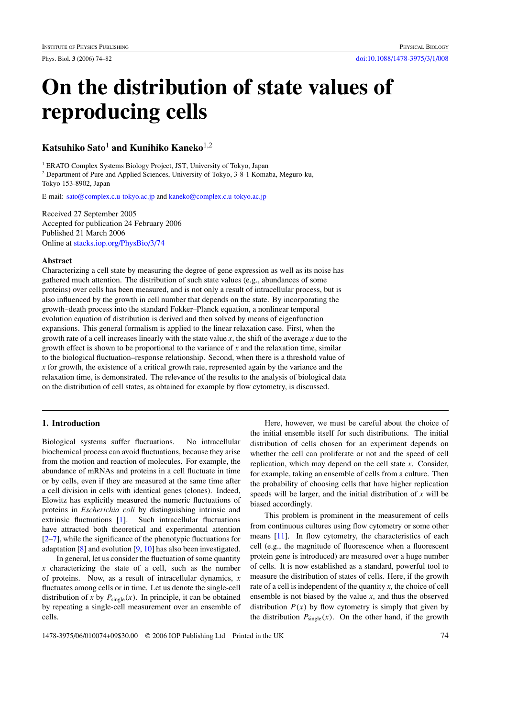# **On the distribution of state values of reproducing cells**

# **Katsuhiko Sato**<sup>1</sup> **and Kunihiko Kaneko**1,2

<sup>1</sup> ERATO Complex Systems Biology Project, JST, University of Tokyo, Japan <sup>2</sup> Department of Pure and Applied Sciences, University of Tokyo, 3-8-1 Komaba, Meguro-ku, Tokyo 153-8902, Japan

E-mail: [sato@complex.c.u-tokyo.ac.jp](mailto:sato@complex.c.u-tokyo.ac.jp) and [kaneko@complex.c.u-tokyo.ac.jp](mailto:kaneko@complex.c.u-tokyo.ac.jp)

Received 27 September 2005 Accepted for publication 24 February 2006 Published 21 March 2006 Online at [stacks.iop.org/PhysBio/3/74](http://stacks.iop.org/PhysBio/3/74)

# **Abstract**

Characterizing a cell state by measuring the degree of gene expression as well as its noise has gathered much attention. The distribution of such state values (e.g., abundances of some proteins) over cells has been measured, and is not only a result of intracellular process, but is also influenced by the growth in cell number that depends on the state. By incorporating the growth–death process into the standard Fokker–Planck equation, a nonlinear temporal evolution equation of distribution is derived and then solved by means of eigenfunction expansions. This general formalism is applied to the linear relaxation case. First, when the growth rate of a cell increases linearly with the state value *x*, the shift of the average *x* due to the growth effect is shown to be proportional to the variance of *x* and the relaxation time, similar to the biological fluctuation–response relationship. Second, when there is a threshold value of *x* for growth, the existence of a critical growth rate, represented again by the variance and the relaxation time, is demonstrated. The relevance of the results to the analysis of biological data on the distribution of cell states, as obtained for example by flow cytometry, is discussed.

# **1. Introduction**

Biological systems suffer fluctuations. No intracellular biochemical process can avoid fluctuations, because they arise from the motion and reaction of molecules. For example, the abundance of mRNAs and proteins in a cell fluctuate in time or by cells, even if they are measured at the same time after a cell division in cells with identical genes (clones). Indeed, Elowitz has explicitly measured the numeric fluctuations of proteins in *Escherichia coli* by distinguishing intrinsic and extrinsic fluctuations [\[1\]](#page-7-0). Such intracellular fluctuations have attracted both theoretical and experimental attention [\[2–7\]](#page-7-0), while the significance of the phenotypic fluctuations for adaptation [\[8\]](#page-7-0) and evolution [\[9](#page-7-0), [10](#page-7-0)] has also been investigated.

In general, let us consider the fluctuation of some quantity *x* characterizing the state of a cell, such as the number of proteins. Now, as a result of intracellular dynamics, *x* fluctuates among cells or in time. Let us denote the single-cell distribution of *x* by  $P_{\text{single}}(x)$ . In principle, it can be obtained by repeating a single-cell measurement over an ensemble of cells.

Here, however, we must be careful about the choice of the initial ensemble itself for such distributions. The initial distribution of cells chosen for an experiment depends on whether the cell can proliferate or not and the speed of cell replication, which may depend on the cell state *x*. Consider, for example, taking an ensemble of cells from a culture. Then the probability of choosing cells that have higher replication speeds will be larger, and the initial distribution of *x* will be biased accordingly.

This problem is prominent in the measurement of cells from continuous cultures using flow cytometry or some other means [\[11](#page-7-0)]. In flow cytometry, the characteristics of each cell (e.g., the magnitude of fluorescence when a fluorescent protein gene is introduced) are measured over a huge number of cells. It is now established as a standard, powerful tool to measure the distribution of states of cells. Here, if the growth rate of a cell is independent of the quantity *x*, the choice of cell ensemble is not biased by the value *x*, and thus the observed distribution  $P(x)$  by flow cytometry is simply that given by the distribution  $P_{single}(x)$ . On the other hand, if the growth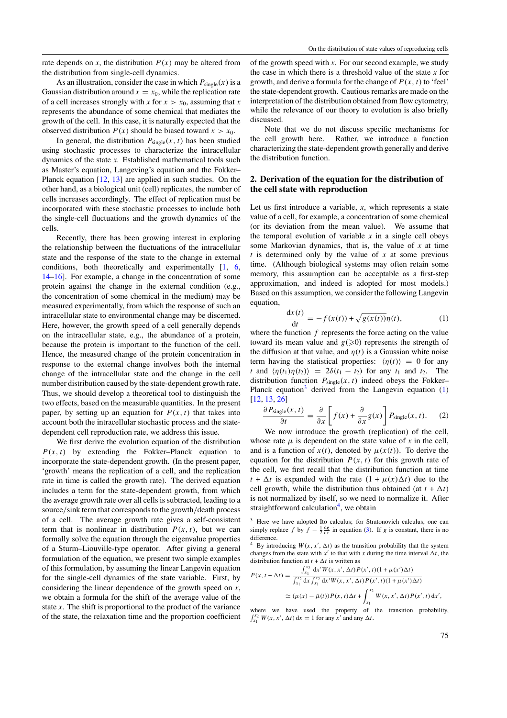<span id="page-1-0"></span>rate depends on *x*, the distribution  $P(x)$  may be altered from the distribution from single-cell dynamics.

As an illustration, consider the case in which  $P_{single}(x)$  is a Gaussian distribution around  $x = x_0$ , while the replication rate of a cell increases strongly with *x* for  $x > x_0$ , assuming that *x* represents the abundance of some chemical that mediates the growth of the cell. In this case, it is naturally expected that the observed distribution  $P(x)$  should be biased toward  $x > x_0$ .

In general, the distribution  $P_{single}(x, t)$  has been studied using stochastic processes to characterize the intracellular dynamics of the state *x*. Established mathematical tools such as Master's equation, Langeving's equation and the Fokker– Planck equation [\[12](#page-7-0), [13\]](#page-7-0) are applied in such studies. On the other hand, as a biological unit (cell) replicates, the number of cells increases accordingly. The effect of replication must be incorporated with these stochastic processes to include both the single-cell fluctuations and the growth dynamics of the cells.

Recently, there has been growing interest in exploring the relationship between the fluctuations of the intracellular state and the response of the state to the change in external conditions, both theoretically and experimentally [\[1,](#page-7-0) [6,](#page-7-0) [14–16\]](#page-7-0). For example, a change in the concentration of some protein against the change in the external condition (e.g., the concentration of some chemical in the medium) may be measured experimentally, from which the response of such an intracellular state to environmental change may be discerned. Here, however, the growth speed of a cell generally depends on the intracellular state, e.g., the abundance of a protein, because the protein is important to the function of the cell. Hence, the measured change of the protein concentration in response to the external change involves both the internal change of the intracellular state and the change in the cell number distribution caused by the state-dependent growth rate. Thus, we should develop a theoretical tool to distinguish the two effects, based on the measurable quantities. In the present paper, by setting up an equation for  $P(x, t)$  that takes into account both the intracellular stochastic process and the statedependent cell reproduction rate, we address this issue.

We first derive the evolution equation of the distribution  $P(x, t)$  by extending the Fokker–Planck equation to incorporate the state-dependent growth. (In the present paper, 'growth' means the replication of a cell, and the replication rate in time is called the growth rate). The derived equation includes a term for the state-dependent growth, from which the average growth rate over all cells is subtracted, leading to a source*/*sink term that corresponds to the growth*/*death process of a cell. The average growth rate gives a self-consistent term that is nonlinear in distribution  $P(x, t)$ , but we can formally solve the equation through the eigenvalue properties of a Sturm–Liouville-type operator. After giving a general formulation of the equation, we present two simple examples of this formulation, by assuming the linear Langevin equation for the single-cell dynamics of the state variable. First, by considering the linear dependence of the growth speed on *x*, we obtain a formula for the shift of the average value of the state *x*. The shift is proportional to the product of the variance of the state, the relaxation time and the proportion coefficient

of the growth speed with *x*. For our second example, we study the case in which there is a threshold value of the state *x* for growth, and derive a formula for the change of  $P(x, t)$  to 'feel' the state-dependent growth. Cautious remarks are made on the interpretation of the distribution obtained from flow cytometry, while the relevance of our theory to evolution is also briefly discussed.

Note that we do not discuss specific mechanisms for the cell growth here. Rather, we introduce a function characterizing the state-dependent growth generally and derive the distribution function.

# **2. Derivation of the equation for the distribution of the cell state with reproduction**

Let us first introduce a variable,  $x$ , which represents a state value of a cell, for example, a concentration of some chemical (or its deviation from the mean value). We assume that the temporal evolution of variable  $x$  in a single cell obeys some Markovian dynamics, that is, the value of *x* at time *t* is determined only by the value of *x* at some previous time. (Although biological systems may often retain some memory, this assumption can be acceptable as a first-step approximation, and indeed is adopted for most models.) Based on this assumption, we consider the following Langevin equation,

$$
\frac{\mathrm{d}x(t)}{\mathrm{d}t} = -f(x(t)) + \sqrt{g(x(t))}\eta(t),\tag{1}
$$

where the function *f* represents the force acting on the value toward its mean value and  $g(0,0)$  represents the strength of the diffusion at that value, and  $n(t)$  is a Gaussian white noise term having the statistical properties:  $\langle \eta(t) \rangle = 0$  for any *t* and  $\langle \eta(t_1)\eta(t_2) \rangle = 2\delta(t_1 - t_2)$  for any  $t_1$  and  $t_2$ . The distribution function  $P_{single}(x, t)$  indeed obeys the Fokker– Planck equation<sup>3</sup> derived from the Langevin equation  $(1)$ [\[12](#page-7-0), [13](#page-7-0), [26\]](#page-8-0)

$$
\frac{\partial P_{\text{single}}(x,t)}{\partial t} = \frac{\partial}{\partial x} \left[ f(x) + \frac{\partial}{\partial x} g(x) \right] P_{\text{single}}(x,t). \tag{2}
$$

We now introduce the growth (replication) of the cell, whose rate  $\mu$  is dependent on the state value of  $x$  in the cell, and is a function of  $x(t)$ , denoted by  $\mu(x(t))$ . To derive the equation for the distribution  $P(x, t)$  for this growth rate of the cell, we first recall that the distribution function at time  $t + \Delta t$  is expanded with the rate  $(1 + \mu(x)\Delta t)$  due to the cell growth, while the distribution thus obtained (at  $t + \Delta t$ ) is not normalized by itself, so we need to normalize it. After straightforward calculation<sup>4</sup>, we obtain

<sup>3</sup> Here we have adopted Ito calculus; for Stratonovich calculus, one can simply replace *f* by  $f - \frac{1}{2} \frac{dg}{dx}$  in equation [\(3\)](#page-2-0). If *g* is constant, there is no difference.

<sup>4</sup> By introducing  $W(x, x', \Delta t)$  as the transition probability that the system changes from the state with  $x'$  to that with  $x$  during the time interval  $\Delta t$ , the distribution function at  $t + \Delta t$  is written as

$$
P(x, t + \Delta t) = \frac{\int_{x_1}^{x_2} dx' W(x, x', \Delta t) P(x', t) (1 + \mu(x') \Delta t)}{\int_{x_1}^{x_2} dx \int_{x_1}^{x_2} dx' W(x, x', \Delta t) P(x', t) (1 + \mu(x') \Delta t)} \approx (\mu(x) - \bar{\mu}(t)) P(x, t) \Delta t + \int_{x_1}^{x_2} W(x, x', \Delta t) P(x', t) dx',
$$

where we have used the property of the transition probability,  $\int_{x_1}^{x_2} W(x, x', \Delta t) dx = 1$  for any  $x'$  and any  $\Delta t$ .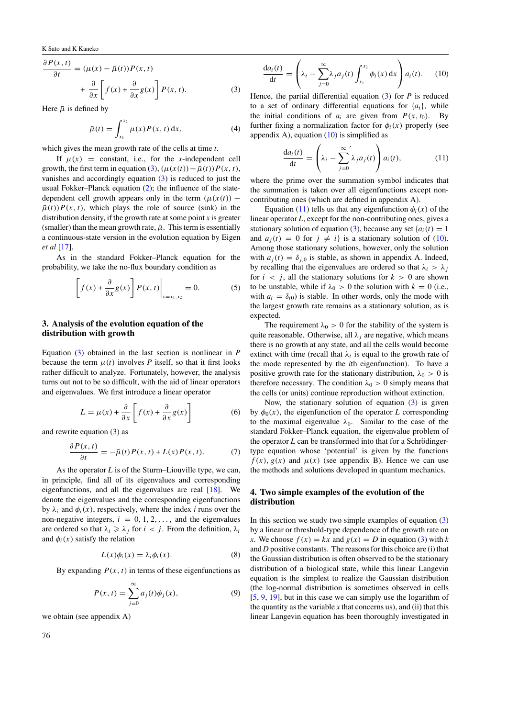<span id="page-2-0"></span>K Sato and K Kaneko

$$
\frac{\partial P(x,t)}{\partial t} = (\mu(x) - \bar{\mu}(t))P(x,t) \n+ \frac{\partial}{\partial x} \left[ f(x) + \frac{\partial}{\partial x} g(x) \right] P(x,t).
$$
\n(3)

Here  $\bar{\mu}$  is defined by

$$
\bar{\mu}(t) = \int_{x_1}^{x_2} \mu(x) P(x, t) \, \mathrm{d}x,\tag{4}
$$

which gives the mean growth rate of the cells at time *t*.

If  $\mu(x)$  = constant, i.e., for the *x*-independent cell growth, the first term in equation (3),  $(\mu(x(t)) - \bar{\mu}(t))P(x, t)$ , vanishes and accordingly equation (3) is reduced to just the usual Fokker–Planck equation [\(2\)](#page-1-0); the influence of the statedependent cell growth appears only in the term  $(\mu(x(t)) \bar{\mu}(t)$ )  $P(x, t)$ , which plays the role of source (sink) in the distribution density, if the growth rate at some point *x* is greater (smaller) than the mean growth rate,  $\bar{\mu}$ . This term is essentially a continuous-state version in the evolution equation by Eigen *et al* [\[17\]](#page-7-0).

As in the standard Fokker–Planck equation for the probability, we take the no-flux boundary condition as

$$
\[f(x) + \frac{\partial}{\partial x} g(x)\] P(x,t) \Big|_{x=x_1,x_2} = 0. \tag{5}
$$

# **3. Analysis of the evolution equation of the distribution with growth**

Equation (3) obtained in the last section is nonlinear in *P* because the term  $\mu(t)$  involves *P* itself, so that it first looks rather difficult to analyze. Fortunately, however, the analysis turns out not to be so difficult, with the aid of linear operators and eigenvalues. We first introduce a linear operator

$$
L = \mu(x) + \frac{\partial}{\partial x} \left[ f(x) + \frac{\partial}{\partial x} g(x) \right]
$$
 (6)

and rewrite equation  $(3)$  as

$$
\frac{\partial P(x,t)}{\partial t} = -\bar{\mu}(t)P(x,t) + L(x)P(x,t). \tag{7}
$$

As the operator *L* is of the Sturm–Liouville type, we can, in principle, find all of its eigenvalues and corresponding eigenfunctions, and all the eigenvalues are real [\[18](#page-7-0)]. We denote the eigenvalues and the corresponding eigenfunctions by  $\lambda_i$  and  $\phi_i(x)$ , respectively, where the index *i* runs over the non-negative integers,  $i = 0, 1, 2, \ldots$ , and the eigenvalues are ordered so that  $\lambda_i \geq \lambda_j$  for  $i < j$ . From the definition,  $\lambda_i$ and  $\phi_i(x)$  satisfy the relation

$$
L(x)\phi_i(x) = \lambda_i \phi_i(x). \tag{8}
$$

By expanding  $P(x, t)$  in terms of these eigenfunctions as

$$
P(x,t) = \sum_{j=0}^{\infty} a_j(t)\phi_j(x),
$$
\n(9)

we obtain (see appendix A)

$$
\frac{da_i(t)}{dt} = \left(\lambda_i - \sum_{j=0}^{\infty} \lambda_j a_j(t) \int_{x_1}^{x_2} \phi_i(x) dx\right) a_i(t).
$$
 (10)

Hence, the partial differential equation (3) for *P* is reduced to a set of ordinary differential equations for  $\{a_i\}$ , while the initial conditions of  $a_i$  are given from  $P(x, t_0)$ . By further fixing a normalization factor for  $\phi_i(x)$  properly (see appendix A), equation  $(10)$  is simplified as

$$
\frac{da_i(t)}{dt} = \left(\lambda_i - \sum_{j=0}^{\infty} \lambda_j a_j(t)\right) a_i(t),
$$
\n(11)

where the prime over the summation symbol indicates that the summation is taken over all eigenfunctions except noncontributing ones (which are defined in appendix A).

Equation (11) tells us that any eigenfunction  $\phi_i(x)$  of the linear operator *L*, except for the non-contributing ones, gives a stationary solution of equation (3), because any set  $\{a_i(t)\} = 1$ and  $a_i(t) = 0$  for  $j \neq i$  is a stationary solution of (10). Among those stationary solutions, however, only the solution with  $a_i(t) = \delta_{i,0}$  is stable, as shown in appendix A. Indeed, by recalling that the eigenvalues are ordered so that  $\lambda_i > \lambda_j$ for  $i < j$ , all the stationary solutions for  $k > 0$  are shown to be unstable, while if  $\lambda_0 > 0$  the solution with  $k = 0$  (i.e., with  $a_i = \delta_{i0}$  is stable. In other words, only the mode with the largest growth rate remains as a stationary solution, as is expected.

The requirement  $\lambda_0 > 0$  for the stability of the system is quite reasonable. Otherwise, all  $\lambda_i$  are negative, which means there is no growth at any state, and all the cells would become extinct with time (recall that  $\lambda_i$  is equal to the growth rate of the mode represented by the *i*th eigenfunction). To have a positive growth rate for the stationary distribution,  $\lambda_0 > 0$  is therefore necessary. The condition  $\lambda_0 > 0$  simply means that the cells (or units) continue reproduction without extinction.

Now, the stationary solution of equation (3) is given by  $\phi_0(x)$ , the eigenfunction of the operator *L* corresponding to the maximal eigenvalue  $\lambda_0$ . Similar to the case of the standard Fokker–Planck equation, the eigenvalue problem of the operator  $L$  can be transformed into that for a Schrödingertype equation whose 'potential' is given by the functions  $f(x)$ ,  $g(x)$  and  $\mu(x)$  (see appendix B). Hence we can use the methods and solutions developed in quantum mechanics.

# **4. Two simple examples of the evolution of the distribution**

In this section we study two simple examples of equation  $(3)$ by a linear or threshold-type dependence of the growth rate on *x*. We choose  $f(x) = kx$  and  $g(x) = D$  in equation (3) with *k* and *D* positive constants. The reasons for this choice are (i) that the Gaussian distribution is often observed to be the stationary distribution of a biological state, while this linear Langevin equation is the simplest to realize the Gaussian distribution (the log-normal distribution is sometimes observed in cells [\[5,](#page-7-0) [9](#page-7-0), [19](#page-7-0)], but in this case we can simply use the logarithm of the quantity as the variable  $x$  that concerns us), and (ii) that this linear Langevin equation has been thoroughly investigated in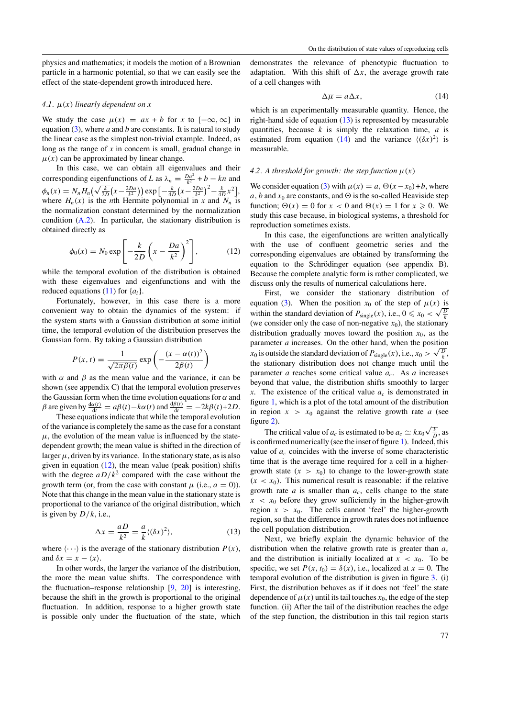<span id="page-3-0"></span>physics and mathematics; it models the motion of a Brownian particle in a harmonic potential, so that we can easily see the effect of the state-dependent growth introduced here.

#### 4.1.  $\mu(x)$  *linearly dependent on x*

We study the case  $\mu(x) = ax + b$  for *x* to  $[-\infty, \infty]$  in equation  $(3)$ , where *a* and *b* are constants. It is natural to study the linear case as the simplest non-trivial example. Indeed, as long as the range of *x* in concern is small, gradual change in  $\mu(x)$  can be approximated by linear change.

In this case, we can obtain all eigenvalues and their corresponding eigenfunctions of *L* as  $\lambda_n = \frac{Da^2}{k^2} + b - kn$  and  $\phi_n(x) = N_n H_n \Big( \sqrt{\frac{k}{2D}} \Big( x - \frac{2Da}{k^2} \Big) \Big) \exp \Big[ -\frac{k}{4D} \Big( x - \frac{2Da}{k^2} \Big)^2 - \frac{k}{4D} x^2 \Big],$ where  $H_n(x)$  is the *n*th Hermite polynomial in *x* and  $N_n$  is the normalization constant determined by the normalization condition [\(A](#page-6-0)*.*2). In particular, the stationary distribution is obtained directly as

$$
\phi_0(x) = N_0 \exp\left[-\frac{k}{2D}\left(x - \frac{Da}{k^2}\right)^2\right],\tag{12}
$$

while the temporal evolution of the distribution is obtained with these eigenvalues and eigenfunctions and with the reduced equations  $(11)$  for  $\{a_i\}$ .

Fortunately, however, in this case there is a more convenient way to obtain the dynamics of the system: if the system starts with a Gaussian distribution at some initial time, the temporal evolution of the distribution preserves the Gaussian form. By taking a Gaussian distribution

$$
P(x, t) = \frac{1}{\sqrt{2\pi\beta(t)}} \exp\left(-\frac{(x - \alpha(t))^2}{2\beta(t)}\right)
$$

with  $\alpha$  and  $\beta$  as the mean value and the variance, it can be shown (see appendix C) that the temporal evolution preserves the Gaussian form when the time evolution equations for *α* and  $\beta$  are given by  $\frac{d\alpha(t)}{dt} = a\beta(t) - k\alpha(t)$  and  $\frac{d\beta(t)}{dt} = -2k\beta(t) + 2D$ .

These equations indicate that while the temporal evolution of the variance is completely the same as the case for a constant  $\mu$ , the evolution of the mean value is influenced by the statedependent growth; the mean value is shifted in the direction of larger  $\mu$ , driven by its variance. In the stationary state, as is also given in equation  $(12)$ , the mean value (peak position) shifts with the degree  $aD/k^2$  compared with the case without the growth term (or, from the case with constant  $\mu$  (i.e.,  $a = 0$ )). Note that this change in the mean value in the stationary state is proportional to the variance of the original distribution, which is given by  $D/k$ , i.e.,

$$
\Delta x = \frac{aD}{k^2} = \frac{a}{k} \langle (\delta x)^2 \rangle, \tag{13}
$$

where  $\langle \cdots \rangle$  is the average of the stationary distribution  $P(x)$ , and  $\delta x = x - \langle x \rangle$ .

In other words, the larger the variance of the distribution, the more the mean value shifts. The correspondence with the fluctuation–response relationship [\[9,](#page-7-0) [20\]](#page-8-0) is interesting, because the shift in the growth is proportional to the original fluctuation. In addition, response to a higher growth state is possible only under the fluctuation of the state, which

demonstrates the relevance of phenotypic fluctuation to adaptation. With this shift of  $\Delta x$ , the average growth rate of a cell changes with

$$
\Delta \overline{\mu} = a \Delta x,\tag{14}
$$

which is an experimentally measurable quantity. Hence, the right-hand side of equation  $(13)$  is represented by measurable quantities, because *k* is simply the relaxation time, *a* is estimated from equation (14) and the variance  $\langle (\delta x)^2 \rangle$  is measurable.

#### 4.2. A threshold for growth: the step function  $\mu(x)$

We consider equation [\(3\)](#page-2-0) with  $\mu(x) = a$ ,  $\Theta(x - x_0) + b$ , where *a*, *b* and  $x_0$  are constants, and  $\Theta$  is the so-called Heaviside step function;  $\Theta(x) = 0$  for  $x < 0$  and  $\Theta(x) = 1$  for  $x \ge 0$ . We study this case because, in biological systems, a threshold for reproduction sometimes exists.

In this case, the eigenfunctions are written analytically with the use of confluent geometric series and the corresponding eigenvalues are obtained by transforming the equation to the Schrödinger equation (see appendix B). Because the complete analytic form is rather complicated, we discuss only the results of numerical calculations here.

First, we consider the stationary distribution of equation [\(3\)](#page-2-0). When the position  $x_0$  of the step of  $\mu(x)$  is equation (3). When the position  $x_0$  or the step or  $\mu(x)$  is<br>within the standard deviation of  $P_{\text{single}}(x)$ , i.e.,  $0 \le x_0 < \sqrt{\frac{D}{k}}$ (we consider only the case of non-negative  $x_0$ ), the stationary distribution gradually moves toward the position  $x_0$ , as the parameter *a* increases. On the other hand, when the position parameter *a* increases. On the other hand, when the position  $x_0$  is outside the standard deviation of  $P_{\text{single}}(x)$ , i.e.,  $x_0 > \sqrt{\frac{D}{k}}$ , the stationary distribution does not change much until the parameter *a* reaches some critical value  $a_c$ . As *a* increases beyond that value, the distribution shifts smoothly to larger x. The existence of the critical value  $a_c$  is demonstrated in figure [1,](#page-4-0) which is a plot of the total amount of the distribution in region  $x > x_0$  against the relative growth rate *a* (see figure [2\)](#page-4-0).

The critical value of  $a_c$  is estimated to be  $a_c \simeq kx_0\sqrt{\frac{k}{D}}$ , as is confirmed numerically (see the inset of figure [1\)](#page-4-0). Indeed, this value of *ac* coincides with the inverse of some characteristic time that is the average time required for a cell in a highergrowth state  $(x > x_0)$  to change to the lower-growth state  $(x < x_0)$ . This numerical result is reasonable: if the relative growth rate  $a$  is smaller than  $a_c$ , cells change to the state  $x < x_0$  before they grow sufficiently in the higher-growth region  $x > x_0$ . The cells cannot 'feel' the higher-growth region, so that the difference in growth rates does not influence the cell population distribution.

Next, we briefly explain the dynamic behavior of the distribution when the relative growth rate is greater than *ac* and the distribution is initially localized at  $x < x_0$ . To be specific, we set  $P(x, t_0) = \delta(x)$ , i.e., localized at  $x = 0$ . The temporal evolution of the distribution is given in figure [3.](#page-4-0) (i) First, the distribution behaves as if it does not 'feel' the state dependence of  $\mu(x)$  until its tail touches  $x_0$ , the edge of the step function. (ii) After the tail of the distribution reaches the edge of the step function, the distribution in this tail region starts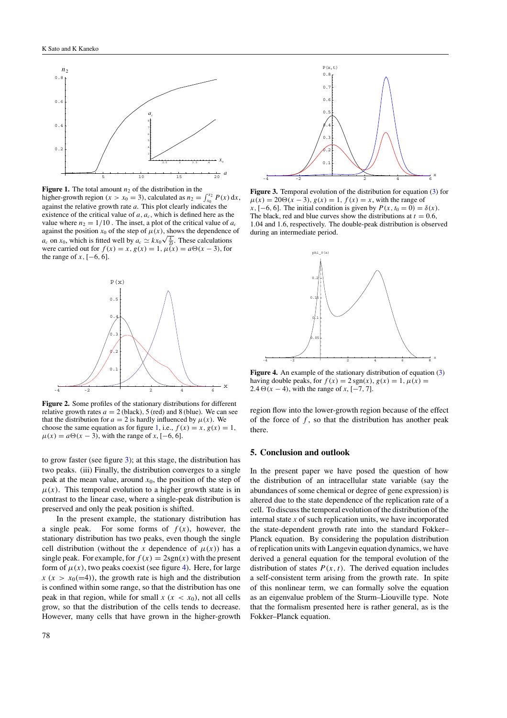<span id="page-4-0"></span>

**Figure 1.** The total amount  $n_2$  of the distribution in the higher-growth region  $(x > x_0 = 3)$ , calculated as  $n_2 = \int_{x_0}^{x_2} P(x) dx$ , against the relative growth rate *a*. This plot clearly indicates the existence of the critical value of  $a, a_c$ , which is defined here as the value where  $n_2 = 1/10$ . The inset, a plot of the critical value of  $a_c$ against the position  $x_0$  of the step of  $\mu(x)$ , shows the dependence of against the position  $x_0$  or the step or  $\mu(x)$ , shows the dependence  $a_c$  on  $x_0$ , which is fitted well by  $a_c \simeq kx_0\sqrt{\frac{k}{\beta}}$ . These calculations were carried out for  $f(x) = x$ ,  $g(x) = 1$ ,  $\mu(x) = a\Theta(x - 3)$ , for the range of  $x$ ,  $[-6, 6]$ .



**Figure 2.** Some profiles of the stationary distributions for different relative growth rates  $a = 2$  (black), 5 (red) and 8 (blue). We can see that the distribution for  $a = 2$  is hardly influenced by  $\mu(x)$ . We choose the same equation as for figure 1, i.e.,  $f(x) = x$ ,  $g(x) = 1$ ,  $\mu(x) = a\Theta(x-3)$ , with the range of *x*, [-6, 6].

to grow faster (see figure 3); at this stage, the distribution has two peaks. (iii) Finally, the distribution converges to a single peak at the mean value, around  $x_0$ , the position of the step of  $\mu(x)$ . This temporal evolution to a higher growth state is in contrast to the linear case, where a single-peak distribution is preserved and only the peak position is shifted.

In the present example, the stationary distribution has a single peak. For some forms of  $f(x)$ , however, the stationary distribution has two peaks, even though the single cell distribution (without the *x* dependence of  $\mu(x)$ ) has a single peak. For example, for  $f(x) = 2sgn(x)$  with the present form of  $\mu(x)$ , two peaks coexist (see figure 4). Here, for large  $x(x > x_0(=4))$ , the growth rate is high and the distribution is confined within some range, so that the distribution has one peak in that region, while for small  $x (x < x_0)$ , not all cells grow, so that the distribution of the cells tends to decrease. However, many cells that have grown in the higher-growth



**Figure 3.** Temporal evolution of the distribution for equation [\(3\)](#page-2-0) for  $\mu(x) = 20\Theta(x - 3), g(x) = 1, f(x) = x$ , with the range of  $x$ , [−6, 6]. The initial condition is given by  $P(x, t_0 = 0) = \delta(x)$ . The black, red and blue curves show the distributions at  $t = 0.6$ , 1*.*04 and 1*.*6, respectively. The double-peak distribution is observed during an intermediate period.



Figure 4. An example of the stationary distribution of equation [\(3\)](#page-2-0) having double peaks, for  $f(x) = 2 \text{ sgn}(x)$ ,  $g(x) = 1$ ,  $\mu(x) =$ 2.4  $\Theta$ (*x* − 4), with the range of *x*, [−7, 7].

region flow into the lower-growth region because of the effect of the force of *f* , so that the distribution has another peak there.

#### **5. Conclusion and outlook**

In the present paper we have posed the question of how the distribution of an intracellular state variable (say the abundances of some chemical or degree of gene expression) is altered due to the state dependence of the replication rate of a cell. To discuss the temporal evolution of the distribution of the internal state *x* of such replication units, we have incorporated the state-dependent growth rate into the standard Fokker– Planck equation. By considering the population distribution of replication units with Langevin equation dynamics, we have derived a general equation for the temporal evolution of the distribution of states  $P(x, t)$ . The derived equation includes a self-consistent term arising from the growth rate. In spite of this nonlinear term, we can formally solve the equation as an eigenvalue problem of the Sturm–Liouville type. Note that the formalism presented here is rather general, as is the Fokker–Planck equation.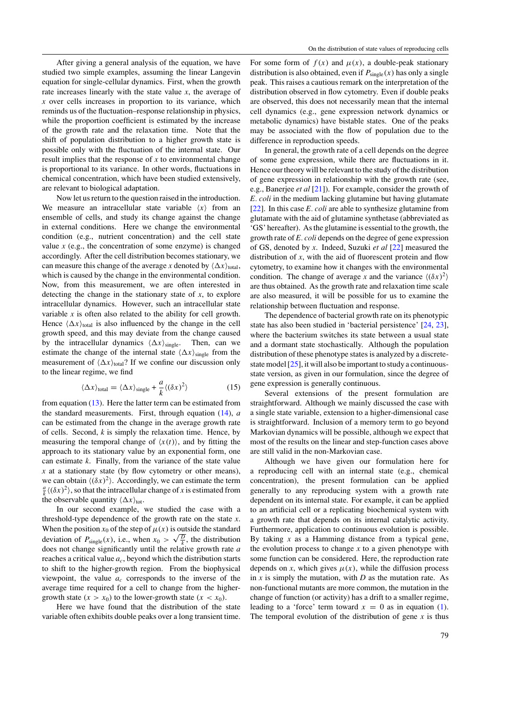After giving a general analysis of the equation, we have studied two simple examples, assuming the linear Langevin equation for single-cellular dynamics. First, when the growth rate increases linearly with the state value *x*, the average of *x* over cells increases in proportion to its variance, which reminds us of the fluctuation–response relationship in physics, while the proportion coefficient is estimated by the increase of the growth rate and the relaxation time. Note that the shift of population distribution to a higher growth state is possible only with the fluctuation of the internal state. Our result implies that the response of *x* to environmental change is proportional to its variance. In other words, fluctuations in chemical concentration, which have been studied extensively, are relevant to biological adaptation.

Now let us return to the question raised in the introduction. We measure an intracellular state variable  $\langle x \rangle$  from an ensemble of cells, and study its change against the change in external conditions. Here we change the environmental condition (e.g., nutrient concentration) and the cell state value  $x$  (e.g., the concentration of some enzyme) is changed accordingly. After the cell distribution becomes stationary, we can measure this change of the average *x* denoted by  $\langle \Delta x \rangle_{total}$ , which is caused by the change in the environmental condition. Now, from this measurement, we are often interested in detecting the change in the stationary state of *x*, to explore intracellular dynamics. However, such an intracellular state variable *x* is often also related to the ability for cell growth. Hence  $\langle \Delta x \rangle_{\text{total}}$  is also influenced by the change in the cell growth speed, and this may deviate from the change caused by the intracellular dynamics  $\langle \Delta x \rangle_{\text{single}}$ . Then, can we estimate the change of the internal state  $\langle \Delta x \rangle_{\text{single}}$  from the measurement of  $\langle \Delta x \rangle_{\text{total}}$ ? If we confine our discussion only to the linear regime, we find

$$
\langle \Delta x \rangle_{\text{total}} = \langle \Delta x \rangle_{\text{single}} + \frac{a}{k} \langle (\delta x)^2 \rangle \tag{15}
$$

from equation  $(13)$ . Here the latter term can be estimated from the standard measurements. First, through equation [\(14\)](#page-3-0), *a* can be estimated from the change in the average growth rate of cells. Second, *k* is simply the relaxation time. Hence, by measuring the temporal change of  $\langle x(t) \rangle$ , and by fitting the approach to its stationary value by an exponential form, one can estimate *k*. Finally, from the variance of the state value *x* at a stationary state (by flow cytometry or other means), we can obtain  $\langle (\delta x)^2 \rangle$ . Accordingly, we can estimate the term  $\frac{a}{k} \langle (\delta x)^2 \rangle$ , so that the intracellular change of *x* is estimated from the observable quantity  $\langle \Delta x \rangle_{\text{tot}}$ .

In our second example, we studied the case with a threshold-type dependence of the growth rate on the state *x*. When the position  $x_0$  of the step of  $\mu(x)$  is outside the standard when the position  $x_0$  of the step of  $\mu(x)$  is outside the standard deviation of  $P_{\text{single}}(x)$ , i.e., when  $x_0 > \sqrt{\frac{D}{k}}$ , the distribution does not change significantly until the relative growth rate *a* reaches a critical value  $a_c$ , beyond which the distribution starts to shift to the higher-growth region. From the biophysical viewpoint, the value *ac* corresponds to the inverse of the average time required for a cell to change from the highergrowth state  $(x > x_0)$  to the lower-growth state  $(x < x_0)$ .

Here we have found that the distribution of the state variable often exhibits double peaks over a long transient time.

For some form of  $f(x)$  and  $\mu(x)$ , a double-peak stationary distribution is also obtained, even if  $P_{single}(x)$  has only a single peak. This raises a cautious remark on the interpretation of the distribution observed in flow cytometry. Even if double peaks are observed, this does not necessarily mean that the internal cell dynamics (e.g., gene expression network dynamics or metabolic dynamics) have bistable states. One of the peaks may be associated with the flow of population due to the difference in reproduction speeds.

In general, the growth rate of a cell depends on the degree of some gene expression, while there are fluctuations in it. Hence our theory will be relevant to the study of the distribution of gene expression in relationship with the growth rate (see, e.g., Banerjee *et al* [\[21\]](#page-8-0)). For example, consider the growth of *E. coli* in the medium lacking glutamine but having glutamate [\[22](#page-8-0)]. In this case *E. coli* are able to synthesize glutamine from glutamate with the aid of glutamine synthetase (abbreviated as 'GS' hereafter). As the glutamine is essential to the growth, the growth rate of *E. coli* depends on the degree of gene expression of GS, denoted by *x*. Indeed, Suzuki *et al* [\[22](#page-8-0)] measured the distribution of *x*, with the aid of fluorescent protein and flow cytometry, to examine how it changes with the environmental condition. The change of average *x* and the variance  $\langle (\delta x)^2 \rangle$ are thus obtained. As the growth rate and relaxation time scale are also measured, it will be possible for us to examine the relationship between fluctuation and response.

The dependence of bacterial growth rate on its phenotypic state has also been studied in 'bacterial persistence' [\[24](#page-8-0), [23](#page-8-0)], where the bacterium switches its state between a usual state and a dormant state stochastically. Although the population distribution of these phenotype states is analyzed by a discretestate model  $[25]$  $[25]$ , it will also be important to study a continuousstate version, as given in our formulation, since the degree of gene expression is generally continuous.

Several extensions of the present formulation are straightforward. Although we mainly discussed the case with a single state variable, extension to a higher-dimensional case is straightforward. Inclusion of a memory term to go beyond Markovian dynamics will be possible, although we expect that most of the results on the linear and step-function cases above are still valid in the non-Markovian case.

Although we have given our formulation here for a reproducing cell with an internal state (e.g., chemical concentration), the present formulation can be applied generally to any reproducing system with a growth rate dependent on its internal state. For example, it can be applied to an artificial cell or a replicating biochemical system with a growth rate that depends on its internal catalytic activity. Furthermore, application to continuous evolution is possible. By taking *x* as a Hamming distance from a typical gene, the evolution process to change  $x$  to a given phenotype with some function can be considered. Here, the reproduction rate depends on *x*, which gives  $\mu(x)$ , while the diffusion process in *x* is simply the mutation, with *D* as the mutation rate. As non-functional mutants are more common, the mutation in the change of function (or activity) has a drift to a smaller regime, leading to a 'force' term toward  $x = 0$  as in equation [\(1\)](#page-1-0). The temporal evolution of the distribution of gene *x* is thus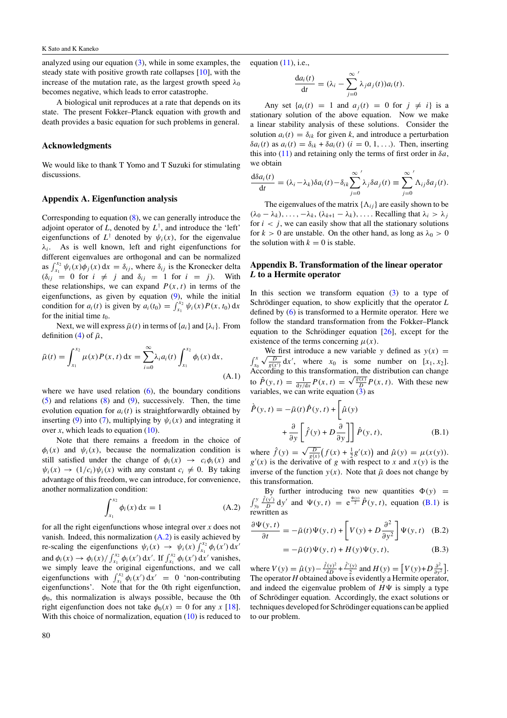<span id="page-6-0"></span>analyzed using our equation [\(3\)](#page-2-0), while in some examples, the steady state with positive growth rate collapses [\[10](#page-7-0)], with the increase of the mutation rate, as the largest growth speed  $\lambda_0$ becomes negative, which leads to error catastrophe.

A biological unit reproduces at a rate that depends on its state. The present Fokker–Planck equation with growth and death provides a basic equation for such problems in general.

# **Acknowledgments**

We would like to thank T Yomo and T Suzuki for stimulating discussions.

#### **Appendix A. Eigenfunction analysis**

Corresponding to equation [\(8\)](#page-2-0), we can generally introduce the adjoint operator of  $L$ , denoted by  $L^{\dagger}$ , and introduce the 'left' eigenfunctions of  $L^{\dagger}$  denoted by  $\psi_i(x)$ , for the eigenvalue *λi*. As is well known, left and right eigenfunctions for different eigenvalues are orthogonal and can be normalized as  $\int_{x_1}^{x_2} \psi_i(x) \phi_j(x) dx = \delta_{ij}$ , where  $\delta_{ij}$  is the Kronecker delta  $(\delta_{ij} = 0 \text{ for } i \neq j \text{ and } \delta_{ij} = 1 \text{ for } i = j)$ . With these relationships, we can expand  $P(x, t)$  in terms of the eigenfunctions, as given by equation [\(9\)](#page-2-0), while the initial condition for  $a_i(t)$  is given by  $a_i(t_0) = \int_{x_1}^{x_2} \psi_i(x) P(x, t_0) dx$ for the initial time  $t_0$ .

Next, we will express  $\bar{\mu}(t)$  in terms of  $\{a_i\}$  and  $\{\lambda_i\}$ . From definition [\(4\)](#page-2-0) of  $\bar{\mu}$ ,

$$
\bar{\mu}(t) = \int_{x_1}^{x_2} \mu(x) P(x, t) dx = \sum_{i=0}^{\infty} \lambda_i a_i(t) \int_{x_1}^{x_2} \phi_i(x) dx,
$$
\n(A.1)

where we have used relation  $(6)$ , the boundary conditions [\(5\)](#page-2-0) and relations [\(8\)](#page-2-0) and [\(9\)](#page-2-0), successively. Then, the time evolution equation for  $a_i(t)$  is straightforwardly obtained by inserting [\(9\)](#page-2-0) into [\(7\)](#page-2-0), multiplying by  $\psi_i(x)$  and integrating it over *x*, which leads to equation  $(10)$ .

Note that there remains a freedom in the choice of  $\phi_i(x)$  and  $\psi_i(x)$ , because the normalization condition is still satisfied under the change of  $\phi_i(x) \rightarrow c_i \phi_i(x)$  and  $\psi_i(x) \rightarrow (1/c_i)\psi_i(x)$  with any constant  $c_i \neq 0$ . By taking advantage of this freedom, we can introduce, for convenience, another normalization condition:

$$
\int_{x_1}^{x_2} \phi_i(x) dx = 1
$$
 (A.2)

for all the right eigenfunctions whose integral over *x* does not vanish. Indeed, this normalization (A*.*2) is easily achieved by re-scaling the eigenfunctions  $\psi_i(x) \to \psi_i(x) \int_{x_1}^{x_2} \phi_i(x') dx'$ and  $\phi_i(x) \to \phi_i(x) / \int_{x_1}^{x_2} \phi_i(x') dx'$ . If  $\int_{x_1}^{x_2} \phi_i(x') dx'$  vanishes, we simply leave the original eigenfunctions, and we call eigenfunctions with  $\int_{x_1}^{x_2} \phi_i(x') dx' = 0$  'non-contributing eigenfunctions'. Note that for the 0th right eigenfunction, *φ*0, this normalization is always possible, because the 0th right eigenfunction does not take  $\phi_0(x) = 0$  for any *x* [\[18\]](#page-7-0). With this choice of normalization, equation [\(10\)](#page-2-0) is reduced to

equation  $(11)$ , i.e.,

$$
\frac{da_i(t)}{dt} = (\lambda_i - \sum_{j=0}^{\infty} \lambda_j a_j(t))a_i(t).
$$

Any set  $\{a_i(t) = 1 \text{ and } a_j(t) = 0 \text{ for } j \neq i\}$  is a stationary solution of the above equation. Now we make a linear stability analysis of these solutions. Consider the solution  $a_i(t) = \delta_{ik}$  for given *k*, and introduce a perturbation *δai(t)* as *ai(t)* = *δik* + *δai(t) (i* = 0*,* 1*, . . .)*. Then, inserting this into  $(11)$  and retaining only the terms of first order in  $\delta a$ , we obtain

$$
\frac{\mathrm{d}\delta a_i(t)}{\mathrm{d}t} = (\lambda_i - \lambda_k) \delta a_i(t) - \delta_{ik} \sum_{j=0}^{\infty} \lambda_j \delta a_j(t) \equiv \sum_{j=0}^{\infty} \Lambda_{ij} \delta a_j(t).
$$

The eigenvalues of the matrix  $\{\Lambda_{ij}\}\$ are easily shown to be  $(\lambda_0 - \lambda_k), \ldots, -\lambda_k, (\lambda_{k+1} - \lambda_k), \ldots$  Recalling that  $\lambda_i > \lambda_j$ for  $i < j$ , we can easily show that all the stationary solutions for  $k > 0$  are unstable. On the other hand, as long as  $\lambda_0 > 0$ the solution with  $k = 0$  is stable.

### **Appendix B. Transformation of the linear operator** *L* **to a Hermite operator**

In this section we transform equation  $(3)$  to a type of Schrödinger equation, to show explicitly that the operator  $L$ defined by [\(6\)](#page-2-0) is transformed to a Hermite operator. Here we follow the standard transformation from the Fokker–Planck equation to the Schrödinger equation  $[26]$  $[26]$ , except for the existence of the terms concerning  $\mu(x)$ .

We first introduce a new variable *y* defined as  $y(x) =$ we first introduce a new variable y defined as  $y(x) =$ <br>  $\int_{x_0}^{x} \sqrt{\frac{D}{g(x)}} dx'$ , where  $x_0$  is some number on [ $x_1, x_2$ ].  $f_{x_0} \vee \frac{g(x)}{g(x)}$  ax , where  $x_0$  is some number on [x<sub>1</sub>, x<sub>2</sub>].<br>According to this transformation, the distribution can change According to this transformation, the distribution can change<br>to  $\hat{P}(y, t) = \frac{1}{dy/dx} P(x, t) = \sqrt{\frac{g(x)}{D}} P(x, t)$ . With these new variables, we can write equation  $(3)$  as

$$
\dot{\hat{P}}(y,t) = -\bar{\mu}(t)\hat{P}(y,t) + \left[\hat{\mu}(y) + \frac{\partial}{\partial y}\right] \hat{P}(y,t),
$$
\n(B.1)

where  $\hat{f}(y) = \sqrt{\frac{D}{g(x)}} (f(x) + \frac{1}{2}g'(x))$  and  $\hat{\mu}(y) = \mu(x(y))$ .  $g'(x)$  is the derivative of *g* with respect to *x* and  $x(y)$  is the inverse of the function  $y(x)$ . Note that  $\bar{\mu}$  does not change by this transformation.

By further introducing two new quantities  $\Phi(y)$  =  $\int_{y_0}^y$  $\frac{\hat{f}(y')}{D} dy'$  and  $\Psi(y, t) = e^{\frac{\Phi(y)}{2}} \hat{P}(y, t)$ , equation (B.1) is rewritten as

$$
\frac{\partial \Psi(y,t)}{\partial t} = -\bar{\mu}(t)\Psi(y,t) + \left[V(y) + D\frac{\partial^2}{\partial y^2}\right]\Psi(y,t) \quad (B.2)
$$

$$
= -\bar{\mu}(t)\Psi(y,t) + H(y)\Psi(y,t), \tag{B.3}
$$

where  $V(y) = \hat{\mu}(y) - \frac{\hat{f}(y)^2}{4D} + \frac{\hat{f}'(y)}{2}$  and  $H(y) = [V(y) + D \frac{\partial^2}{\partial y^2}]$ . The operator *H* obtained above is evidently a Hermite operator, and indeed the eigenvalue problem of  $H\Psi$  is simply a type of Schrödinger equation. Accordingly, the exact solutions or techniques developed for Schrödinger equations can be applied to our problem.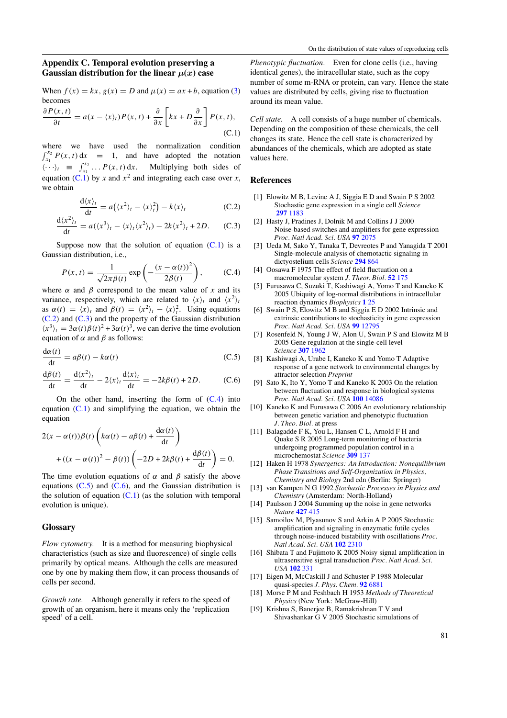# <span id="page-7-0"></span>**Appendix C. Temporal evolution preserving a Gaussian distribution for the linear**  $\mu(x)$  case

When  $f(x) = kx$ ,  $g(x) = D$  and  $u(x) = ax + b$ , equation [\(3\)](#page-2-0) becomes

$$
\frac{\partial P(x,t)}{\partial t} = a(x - \langle x \rangle_t)P(x,t) + \frac{\partial}{\partial x} \left[kx + D\frac{\partial}{\partial x}\right]P(x,t),
$$
\n(C.1)

where we have used the normalization condition  $\int_{x_1}^{x_2} P(x, t) dx = 1$ , and have adopted the notation  $\langle \cdots \rangle_t \equiv \int_{x_1}^{x_2} \cdots P(x, t) dx$ . Multiplying both sides of equation (C.1) by *x* and  $x^2$  and integrating each case over *x*, we obtain

$$
\frac{d\langle x\rangle_t}{dt} = a(\langle x^2\rangle_t - \langle x\rangle_t^2) - k\langle x\rangle_t
$$
 (C.2)

$$
\frac{d\langle x^2 \rangle_t}{dt} = a(\langle x^3 \rangle_t - \langle x \rangle_t \langle x^2 \rangle_t) - 2k \langle x^2 \rangle_t + 2D. \quad (C.3)
$$

Suppose now that the solution of equation  $(C.1)$  is a Gaussian distribution, i.e.,

$$
P(x,t) = \frac{1}{\sqrt{2\pi\beta(t)}} \exp\left(-\frac{(x-\alpha(t))^2}{2\beta(t)}\right),\tag{C.4}
$$

where  $\alpha$  and  $\beta$  correspond to the mean value of *x* and its variance, respectively, which are related to  $\langle x \rangle_t$  and  $\langle x^2 \rangle_t$ as  $\alpha(t) = \langle x \rangle_t$  and  $\beta(t) = \langle x^2 \rangle_t - \langle x \rangle_t^2$ . Using equations (C*.*2) and (C*.*3) and the property of the Gaussian distribution  $\langle x^3 \rangle_t = 3\alpha(t)\beta(t)^2 + 3\alpha(t)^3$ , we can derive the time evolution equation of  $\alpha$  and  $\beta$  as follows:

$$
\frac{d\alpha(t)}{dt} = a\beta(t) - k\alpha(t)
$$
 (C.5)

$$
\frac{\mathrm{d}\beta(t)}{\mathrm{d}t} = \frac{\mathrm{d}\langle x^2 \rangle_t}{\mathrm{d}t} - 2\langle x \rangle_t \frac{\mathrm{d}\langle x \rangle_t}{\mathrm{d}t} = -2k\beta(t) + 2D. \tag{C.6}
$$

On the other hand, inserting the form of (C*.*4) into equation (C*.*1) and simplifying the equation, we obtain the equation

$$
2(x - \alpha(t))\beta(t)\left(k\alpha(t) - a\beta(t) + \frac{d\alpha(t)}{dt}\right) + \left((x - \alpha(t))^2 - \beta(t)\right)\left(-2D + 2k\beta(t) + \frac{d\beta(t)}{dt}\right) = 0.
$$

The time evolution equations of  $\alpha$  and  $\beta$  satisfy the above equations (C*.*5) and (C*.*6), and the Gaussian distribution is the solution of equation  $(C.1)$  (as the solution with temporal evolution is unique).

#### **Glossary**

*Flow cytometry.* It is a method for measuring biophysical characteristics (such as size and fluorescence) of single cells primarily by optical means. Although the cells are measured one by one by making them flow, it can process thousands of cells per second.

*Growth rate.* Although generally it refers to the speed of growth of an organism, here it means only the 'replication speed' of a cell.

*Phenotypic fluctuation.* Even for clone cells (i.e., having identical genes), the intracellular state, such as the copy number of some m-RNA or protein, can vary. Hence the state values are distributed by cells, giving rise to fluctuation around its mean value.

*Cell state.* A cell consists of a huge number of chemicals. Depending on the composition of these chemicals, the cell changes its state. Hence the cell state is characterized by abundances of the chemicals, which are adopted as state values here.

# **References**

- [1] Elowitz M B, Levine A J, Siggia E D and Swain P S 2002 Stochastic gene expression in a single cell *Science* **297** [1183](http://dx.doi.org/10.1126/science.1070919)
- [2] Hasty J, Pradines J, Dolnik M and Collins J J 2000 Noise-based switches and amplifiers for gene expression *Proc. Natl Acad. Sci. USA* **97** [2075](http://dx.doi.org/10.1073/pnas.040411297)
- [3] Ueda M, Sako Y, Tanaka T, Devreotes P and Yanagida T 2001 Single-molecule analysis of chemotactic signaling in dictyostelium cells *Science* **[294](http://dx.doi.org/10.1126/science.1063951)** 864
- [4] Oosawa F 1975 The effect of field fluctuation on a macromolecular system *J. Theor. Biol.* **52** [175](http://dx.doi.org/10.1016/0022-5193(75)90049-1)
- [5] Furusawa C, Suzuki T, Kashiwagi A, Yomo T and Kaneko K 2005 Ubiquity of log-normal distributions in intracellular reaction dynamics *Biophysics* **1** [25](http://dx.doi.org/10.2142/biophysics.1.25)
- [6] Swain P S, Elowitz M B and Siggia E D 2002 Intrinsic and extrinsic contributions to stochasticity in gene expression *Proc. Natl Acad. Sci. USA* **99** [12795](http://dx.doi.org/10.1073/pnas.162041399)
- [7] Rosenfeld N, Young J W, Alon U, Swain P S and Elowitz M B 2005 Gene regulation at the single-cell level *Science* **307** [1962](http://dx.doi.org/10.1126/science.1106914)
- [8] Kashiwagi A, Urabe I, Kaneko K and Yomo T Adaptive response of a gene network to environmental changes by attractor selection *Preprint*
- [9] Sato K, Ito Y, Yomo T and Kaneko K 2003 On the relation between fluctuation and response in biological systems *Proc. Natl Acad. Sci. USA* **100** [14086](http://dx.doi.org/10.1073/pnas.2334996100)
- [10] Kaneko K and Furusawa C 2006 An evolutionary relationship between genetic variation and phenotypic fluctuation *J. Theo. Biol.* at press
- [11] Balagadde F K, You L, Hansen C L, Arnold F H and Quake S R 2005 Long-term monitoring of bacteria undergoing programmed population control in a microchemostat *Science* **[309](http://dx.doi.org/10.1126/science.1109173)** 137
- [12] Haken H 1978 *Synergetics: An Introduction: Nonequilibrium Phase Transitions and Self-Organization in Physics, Chemistry and Biology* 2nd edn (Berlin: Springer)
- [13] van Kampen N G 1992 *Stochastic Processes in Physics and Chemistry* (Amsterdam: North-Holland)
- [14] Paulsson J 2004 Summing up the noise in gene networks *Nature* **[427](http://dx.doi.org/10.1038/nature02257)** 415
- [15] Samoilov M, Plyasunov S and Arkin A P 2005 Stochastic amplification and signaling in enzymatic futile cycles through noise-induced bistability with oscillations *Proc. Natl Acad. Sci. USA* **102** [2310](http://dx.doi.org/10.1073/pnas.0406841102)
- [16] Shibata T and Fujimoto K 2005 Noisy signal amplification in ultrasensitive signal transduction *Proc. Natl Acad. Sci. USA* **[102](http://dx.doi.org/10.1073/pnas.0403350102)** 331
- [17] Eigen M, McCaskill J and Schuster P 1988 Molecular quasi-species *J. Phys. Chem.* **92** [6881](http://dx.doi.org/10.1021/j100335a010)
- [18] Morse P M and Feshbach H 1953 *Methods of Theoretical Physics* (New York: McGraw-Hill)
- [19] Krishna S, Banerjee B, Ramakrishnan T V and Shivashankar G V 2005 Stochastic simulations of